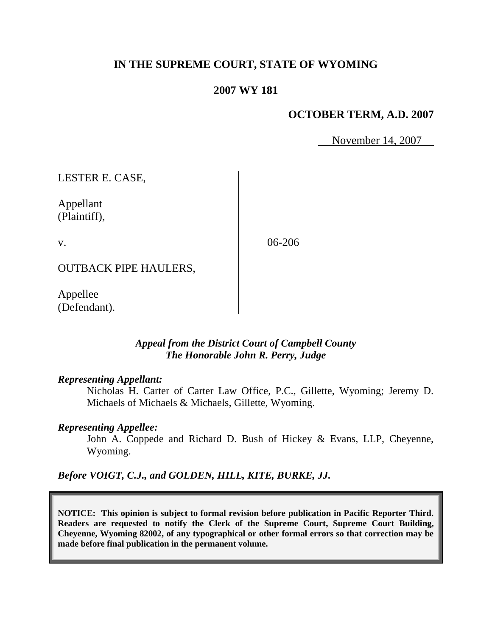# **IN THE SUPREME COURT, STATE OF WYOMING**

## **2007 WY 181**

### **OCTOBER TERM, A.D. 2007**

November 14, 2007

LESTER E. CASE,

Appellant (Plaintiff),

v.

06-206

OUTBACK PIPE HAULERS,

Appellee (Defendant).

### *Appeal from the District Court of Campbell County The Honorable John R. Perry, Judge*

#### *Representing Appellant:*

Nicholas H. Carter of Carter Law Office, P.C., Gillette, Wyoming; Jeremy D. Michaels of Michaels & Michaels, Gillette, Wyoming.

#### *Representing Appellee:*

John A. Coppede and Richard D. Bush of Hickey & Evans, LLP, Cheyenne, Wyoming.

*Before VOIGT, C.J., and GOLDEN, HILL, KITE, BURKE, JJ.*

**NOTICE: This opinion is subject to formal revision before publication in Pacific Reporter Third. Readers are requested to notify the Clerk of the Supreme Court, Supreme Court Building, Cheyenne, Wyoming 82002, of any typographical or other formal errors so that correction may be made before final publication in the permanent volume.**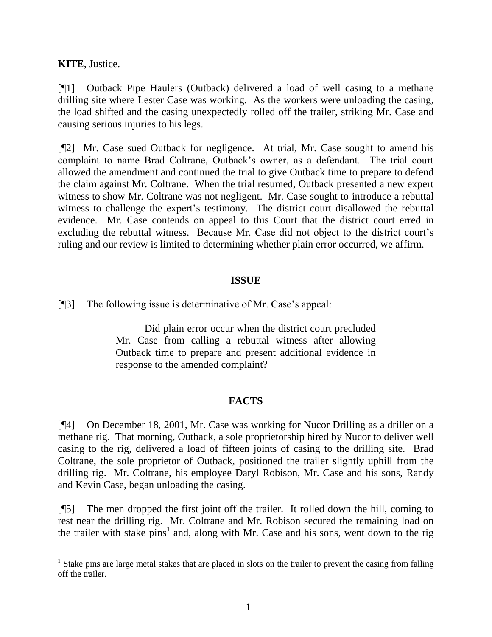**KITE**, Justice.

l

[¶1] Outback Pipe Haulers (Outback) delivered a load of well casing to a methane drilling site where Lester Case was working. As the workers were unloading the casing, the load shifted and the casing unexpectedly rolled off the trailer, striking Mr. Case and causing serious injuries to his legs.

[¶2] Mr. Case sued Outback for negligence. At trial, Mr. Case sought to amend his complaint to name Brad Coltrane, Outback's owner, as a defendant. The trial court allowed the amendment and continued the trial to give Outback time to prepare to defend the claim against Mr. Coltrane. When the trial resumed, Outback presented a new expert witness to show Mr. Coltrane was not negligent. Mr. Case sought to introduce a rebuttal witness to challenge the expert's testimony. The district court disallowed the rebuttal evidence. Mr. Case contends on appeal to this Court that the district court erred in excluding the rebuttal witness. Because Mr. Case did not object to the district court's ruling and our review is limited to determining whether plain error occurred, we affirm.

### **ISSUE**

[¶3] The following issue is determinative of Mr. Case's appeal:

Did plain error occur when the district court precluded Mr. Case from calling a rebuttal witness after allowing Outback time to prepare and present additional evidence in response to the amended complaint?

# **FACTS**

[¶4] On December 18, 2001, Mr. Case was working for Nucor Drilling as a driller on a methane rig. That morning, Outback, a sole proprietorship hired by Nucor to deliver well casing to the rig, delivered a load of fifteen joints of casing to the drilling site. Brad Coltrane, the sole proprietor of Outback, positioned the trailer slightly uphill from the drilling rig. Mr. Coltrane, his employee Daryl Robison, Mr. Case and his sons, Randy and Kevin Case, began unloading the casing.

[¶5] The men dropped the first joint off the trailer. It rolled down the hill, coming to rest near the drilling rig. Mr. Coltrane and Mr. Robison secured the remaining load on the trailer with stake  $pins<sup>1</sup>$  and, along with Mr. Case and his sons, went down to the rig

<sup>&</sup>lt;sup>1</sup> Stake pins are large metal stakes that are placed in slots on the trailer to prevent the casing from falling off the trailer.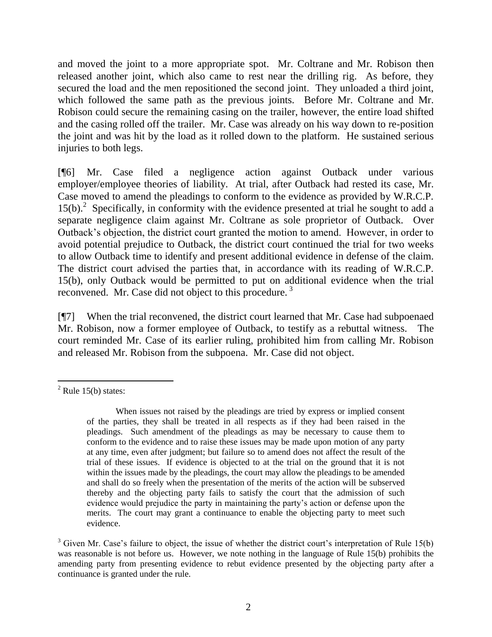and moved the joint to a more appropriate spot. Mr. Coltrane and Mr. Robison then released another joint, which also came to rest near the drilling rig. As before, they secured the load and the men repositioned the second joint. They unloaded a third joint, which followed the same path as the previous joints. Before Mr. Coltrane and Mr. Robison could secure the remaining casing on the trailer, however, the entire load shifted and the casing rolled off the trailer. Mr. Case was already on his way down to re-position the joint and was hit by the load as it rolled down to the platform. He sustained serious injuries to both legs.

[¶6] Mr. Case filed a negligence action against Outback under various employer/employee theories of liability. At trial, after Outback had rested its case, Mr. Case moved to amend the pleadings to conform to the evidence as provided by W.R.C.P. 15(b).<sup>2</sup> Specifically, in conformity with the evidence presented at trial he sought to add a separate negligence claim against Mr. Coltrane as sole proprietor of Outback. Over Outback's objection, the district court granted the motion to amend. However, in order to avoid potential prejudice to Outback, the district court continued the trial for two weeks to allow Outback time to identify and present additional evidence in defense of the claim. The district court advised the parties that, in accordance with its reading of W.R.C.P. 15(b), only Outback would be permitted to put on additional evidence when the trial reconvened. Mr. Case did not object to this procedure.<sup>3</sup>

[¶7] When the trial reconvened, the district court learned that Mr. Case had subpoenaed Mr. Robison, now a former employee of Outback, to testify as a rebuttal witness. The court reminded Mr. Case of its earlier ruling, prohibited him from calling Mr. Robison and released Mr. Robison from the subpoena. Mr. Case did not object.

 $<sup>2</sup>$  Rule 15(b) states:</sup>

When issues not raised by the pleadings are tried by express or implied consent of the parties, they shall be treated in all respects as if they had been raised in the pleadings. Such amendment of the pleadings as may be necessary to cause them to conform to the evidence and to raise these issues may be made upon motion of any party at any time, even after judgment; but failure so to amend does not affect the result of the trial of these issues. If evidence is objected to at the trial on the ground that it is not within the issues made by the pleadings, the court may allow the pleadings to be amended and shall do so freely when the presentation of the merits of the action will be subserved thereby and the objecting party fails to satisfy the court that the admission of such evidence would prejudice the party in maintaining the party's action or defense upon the merits. The court may grant a continuance to enable the objecting party to meet such evidence.

 $3$  Given Mr. Case's failure to object, the issue of whether the district court's interpretation of Rule 15(b) was reasonable is not before us. However, we note nothing in the language of Rule 15(b) prohibits the amending party from presenting evidence to rebut evidence presented by the objecting party after a continuance is granted under the rule.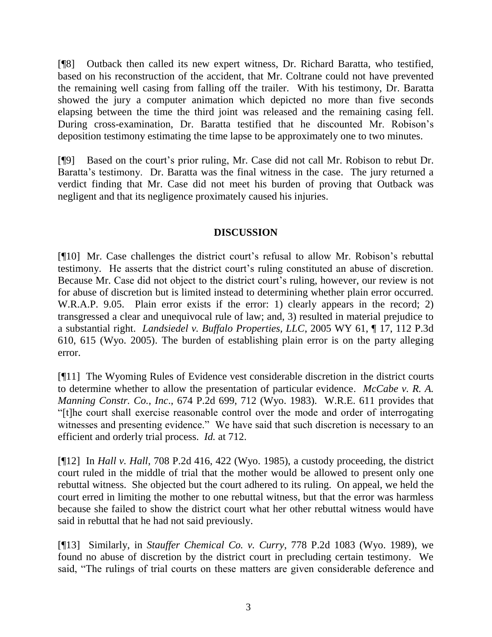[¶8] Outback then called its new expert witness, Dr. Richard Baratta, who testified, based on his reconstruction of the accident, that Mr. Coltrane could not have prevented the remaining well casing from falling off the trailer. With his testimony, Dr. Baratta showed the jury a computer animation which depicted no more than five seconds elapsing between the time the third joint was released and the remaining casing fell. During cross-examination, Dr. Baratta testified that he discounted Mr. Robison's deposition testimony estimating the time lapse to be approximately one to two minutes.

[¶9] Based on the court's prior ruling, Mr. Case did not call Mr. Robison to rebut Dr. Baratta's testimony. Dr. Baratta was the final witness in the case. The jury returned a verdict finding that Mr. Case did not meet his burden of proving that Outback was negligent and that its negligence proximately caused his injuries.

### **DISCUSSION**

[¶10] Mr. Case challenges the district court's refusal to allow Mr. Robison's rebuttal testimony. He asserts that the district court's ruling constituted an abuse of discretion. Because Mr. Case did not object to the district court's ruling, however, our review is not for abuse of discretion but is limited instead to determining whether plain error occurred. W.R.A.P. 9.05. Plain error exists if the error: 1) clearly appears in the record; 2) transgressed a clear and unequivocal rule of law; and, 3) resulted in material prejudice to a substantial right. *Landsiedel v. Buffalo Properties, LLC*, 2005 WY 61, ¶ 17, 112 P.3d 610, 615 (Wyo. 2005). The burden of establishing plain error is on the party alleging error.

[¶11] The Wyoming Rules of Evidence vest considerable discretion in the district courts to determine whether to allow the presentation of particular evidence. *McCabe v. R. A. Manning Constr. Co., Inc*., 674 P.2d 699, 712 (Wyo. 1983). W.R.E. 611 provides that "[t]he court shall exercise reasonable control over the mode and order of interrogating witnesses and presenting evidence." We have said that such discretion is necessary to an efficient and orderly trial process. *Id.* at 712.

[¶12] In *Hall v. Hall*, 708 P.2d 416, 422 (Wyo. 1985), a custody proceeding, the district court ruled in the middle of trial that the mother would be allowed to present only one rebuttal witness. She objected but the court adhered to its ruling. On appeal, we held the court erred in limiting the mother to one rebuttal witness, but that the error was harmless because she failed to show the district court what her other rebuttal witness would have said in rebuttal that he had not said previously.

[¶13] Similarly, in *Stauffer Chemical Co. v. Curry*, 778 P.2d 1083 (Wyo. 1989), we found no abuse of discretion by the district court in precluding certain testimony. We said, "The rulings of trial courts on these matters are given considerable deference and